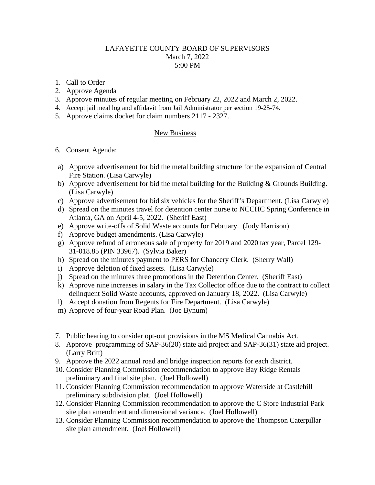## LAFAYETTE COUNTY BOARD OF SUPERVISORS March 7, 2022 5:00 PM

- 1. Call to Order
- 2. Approve Agenda
- 3. Approve minutes of regular meeting on February 22, 2022 and March 2, 2022.
- 4. Accept jail meal log and affidavit from Jail Administrator per section 19-25-74.
- 5. Approve claims docket for claim numbers 2117 2327.

## New Business

- 6. Consent Agenda:
- a) Approve advertisement for bid the metal building structure for the expansion of Central Fire Station. (Lisa Carwyle)
- b) Approve advertisement for bid the metal building for the Building & Grounds Building. (Lisa Carwyle)
- c) Approve advertisement for bid six vehicles for the Sheriff's Department. (Lisa Carwyle)
- d) Spread on the minutes travel for detention center nurse to NCCHC Spring Conference in Atlanta, GA on April 4-5, 2022. (Sheriff East)
- e) Approve write-offs of Solid Waste accounts for February. (Jody Harrison)
- f) Approve budget amendments. (Lisa Carwyle)
- g) Approve refund of erroneous sale of property for 2019 and 2020 tax year, Parcel 129- 31-018.85 (PIN 33967). (Sylvia Baker)
- h) Spread on the minutes payment to PERS for Chancery Clerk. (Sherry Wall)
- i) Approve deletion of fixed assets. (Lisa Carwyle)
- j) Spread on the minutes three promotions in the Detention Center. (Sheriff East)
- k) Approve nine increases in salary in the Tax Collector office due to the contract to collect delinquent Solid Waste accounts, approved on January 18, 2022. (Lisa Carwyle)
- l) Accept donation from Regents for Fire Department. (Lisa Carwyle)
- m) Approve of four-year Road Plan. (Joe Bynum)
- 7. Public hearing to consider opt-out provisions in the MS Medical Cannabis Act.
- 8. Approve programming of SAP-36(20) state aid project and SAP-36(31) state aid project. (Larry Britt)
- 9. Approve the 2022 annual road and bridge inspection reports for each district.
- 10. Consider Planning Commission recommendation to approve Bay Ridge Rentals preliminary and final site plan. (Joel Hollowell)
- 11. Consider Planning Commission recommendation to approve Waterside at Castlehill preliminary subdivision plat. (Joel Hollowell)
- 12. Consider Planning Commission recommendation to approve the C Store Industrial Park site plan amendment and dimensional variance. (Joel Hollowell)
- 13. Consider Planning Commission recommendation to approve the Thompson Caterpillar site plan amendment. (Joel Hollowell)